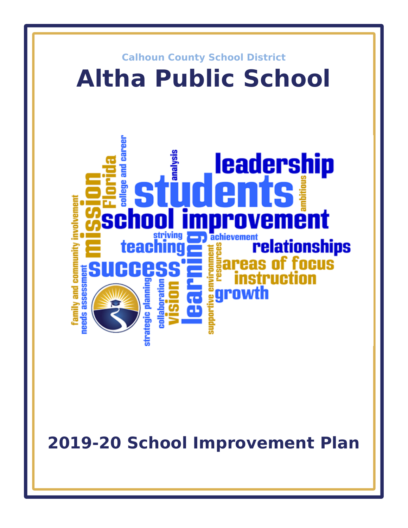

**2019-20 School Improvement Plan**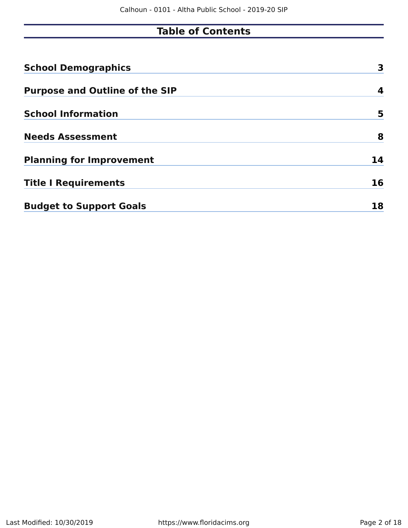# **Table of Contents**

| <b>School Demographics</b>            | 3  |
|---------------------------------------|----|
| <b>Purpose and Outline of the SIP</b> | 4  |
| <b>School Information</b>             | 5  |
| <b>Needs Assessment</b>               | 8  |
| <b>Planning for Improvement</b>       | 14 |
| <b>Title I Requirements</b>           | 16 |
| <b>Budget to Support Goals</b>        | 18 |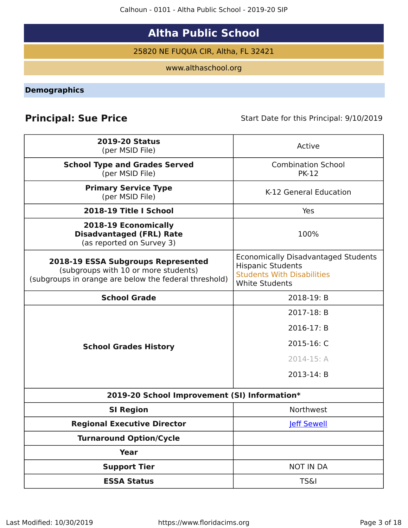Calhoun - 0101 - Altha Public School - 2019-20 SIP

# **Altha Public School**

25820 NE FUQUA CIR, Altha, FL 32421

www.althaschool.org

<span id="page-2-0"></span>**Demographics**

**Principal: Sue Price** Start Date for this Principal: 9/10/2019

| <b>2019-20 Status</b><br>(per MSID File)                                                                                            | Active                                                                                                                               |
|-------------------------------------------------------------------------------------------------------------------------------------|--------------------------------------------------------------------------------------------------------------------------------------|
| <b>School Type and Grades Served</b><br>(per MSID File)                                                                             | <b>Combination School</b><br><b>PK-12</b>                                                                                            |
| <b>Primary Service Type</b><br>(per MSID File)                                                                                      | K-12 General Education                                                                                                               |
| 2018-19 Title I School                                                                                                              | Yes                                                                                                                                  |
| 2018-19 Economically<br><b>Disadvantaged (FRL) Rate</b><br>(as reported on Survey 3)                                                | 100%                                                                                                                                 |
| 2018-19 ESSA Subgroups Represented<br>(subgroups with 10 or more students)<br>(subgroups in orange are below the federal threshold) | <b>Economically Disadvantaged Students</b><br><b>Hispanic Students</b><br><b>Students With Disabilities</b><br><b>White Students</b> |
| <b>School Grade</b>                                                                                                                 | 2018-19: B                                                                                                                           |
|                                                                                                                                     | 2017-18: B                                                                                                                           |
|                                                                                                                                     | 2016-17: B                                                                                                                           |
| <b>School Grades History</b>                                                                                                        | 2015-16: C                                                                                                                           |
|                                                                                                                                     | 2014-15: A                                                                                                                           |
|                                                                                                                                     | 2013-14: B                                                                                                                           |
| 2019-20 School Improvement (SI) Information*                                                                                        |                                                                                                                                      |
| <b>SI Region</b>                                                                                                                    | Northwest                                                                                                                            |
| <b>Regional Executive Director</b>                                                                                                  | <b>Jeff Sewell</b>                                                                                                                   |
| <b>Turnaround Option/Cycle</b>                                                                                                      |                                                                                                                                      |
| <b>Year</b>                                                                                                                         |                                                                                                                                      |
| <b>Support Tier</b>                                                                                                                 | <b>NOT IN DA</b>                                                                                                                     |
| <b>ESSA Status</b>                                                                                                                  | <b>TS&amp;I</b>                                                                                                                      |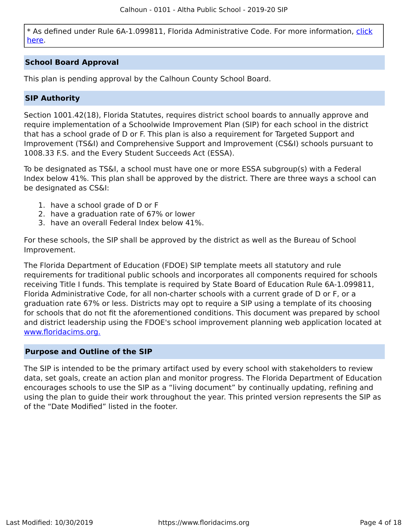\* As defined under Rule 6A-1.099811, Florida Administrative Code. For more information, [click](/downloads?category=da-forms) [here](/downloads?category=da-forms).

# **School Board Approval**

This plan is pending approval by the Calhoun County School Board.

# **SIP Authority**

Section 1001.42(18), Florida Statutes, requires district school boards to annually approve and require implementation of a Schoolwide Improvement Plan (SIP) for each school in the district that has a school grade of D or F. This plan is also a requirement for Targeted Support and Improvement (TS&I) and Comprehensive Support and Improvement (CS&I) schools pursuant to 1008.33 F.S. and the Every Student Succeeds Act (ESSA).

To be designated as TS&I, a school must have one or more ESSA subgroup(s) with a Federal Index below 41%. This plan shall be approved by the district. There are three ways a school can be designated as CS&I:

- 1. have a school grade of D or F
- 2. have a graduation rate of 67% or lower
- 3. have an overall Federal Index below 41%.

For these schools, the SIP shall be approved by the district as well as the Bureau of School Improvement.

The Florida Department of Education (FDOE) SIP template meets all statutory and rule requirements for traditional public schools and incorporates all components required for schools receiving Title I funds. This template is required by State Board of Education Rule 6A-1.099811, Florida Administrative Code, for all non-charter schools with a current grade of D or F, or a graduation rate 67% or less. Districts may opt to require a SIP using a template of its choosing for schools that do not fit the aforementioned conditions. This document was prepared by school and district leadership using the FDOE's school improvement planning web application located at [www.floridacims.org.](https://www.floridacims.org)

#### <span id="page-3-0"></span>**Purpose and Outline of the SIP**

The SIP is intended to be the primary artifact used by every school with stakeholders to review data, set goals, create an action plan and monitor progress. The Florida Department of Education encourages schools to use the SIP as a "living document" by continually updating, refining and using the plan to guide their work throughout the year. This printed version represents the SIP as of the "Date Modified" listed in the footer.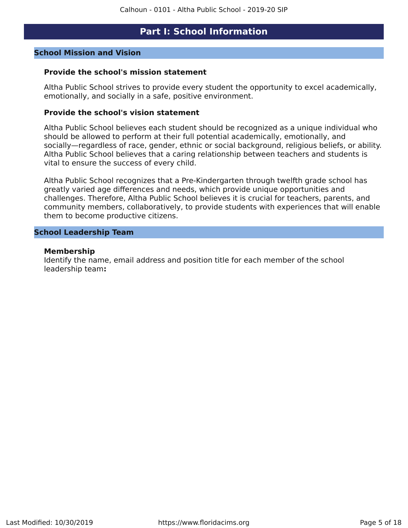# **Part I: School Information**

#### <span id="page-4-0"></span>**School Mission and Vision**

#### **Provide the school's mission statement**

Altha Public School strives to provide every student the opportunity to excel academically, emotionally, and socially in a safe, positive environment.

#### **Provide the school's vision statement**

Altha Public School believes each student should be recognized as a unique individual who should be allowed to perform at their full potential academically, emotionally, and socially—regardless of race, gender, ethnic or social background, religious beliefs, or ability. Altha Public School believes that a caring relationship between teachers and students is vital to ensure the success of every child.

Altha Public School recognizes that a Pre-Kindergarten through twelfth grade school has greatly varied age differences and needs, which provide unique opportunities and challenges. Therefore, Altha Public School believes it is crucial for teachers, parents, and community members, collaboratively, to provide students with experiences that will enable them to become productive citizens.

#### **School Leadership Team**

#### **Membership**

Identify the name, email address and position title for each member of the school leadership team**:**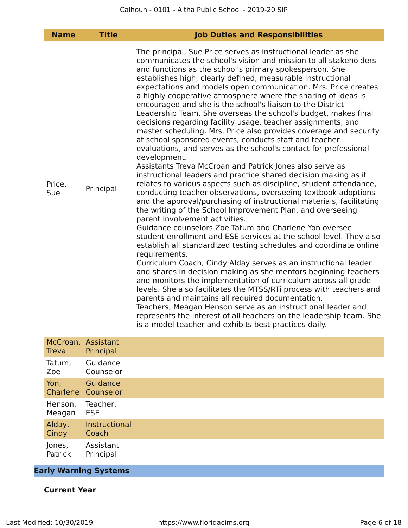| <b>Name</b>   | <b>Title</b> | <b>Job Duties and Responsibilities</b>                                                                                                                                                                                                                                                                                                                                                                                                                                                                                                                                                                                                                                                                                                                                                                                                                                                                                                                                                                                                                                                                                                                                                                                                                                                                                                                                                                                                                                                                                                                                                                                                                                                                                                                                                                                                                                                                                                                                                                                       |
|---------------|--------------|------------------------------------------------------------------------------------------------------------------------------------------------------------------------------------------------------------------------------------------------------------------------------------------------------------------------------------------------------------------------------------------------------------------------------------------------------------------------------------------------------------------------------------------------------------------------------------------------------------------------------------------------------------------------------------------------------------------------------------------------------------------------------------------------------------------------------------------------------------------------------------------------------------------------------------------------------------------------------------------------------------------------------------------------------------------------------------------------------------------------------------------------------------------------------------------------------------------------------------------------------------------------------------------------------------------------------------------------------------------------------------------------------------------------------------------------------------------------------------------------------------------------------------------------------------------------------------------------------------------------------------------------------------------------------------------------------------------------------------------------------------------------------------------------------------------------------------------------------------------------------------------------------------------------------------------------------------------------------------------------------------------------------|
| Price,<br>Sue | Principal    | The principal, Sue Price serves as instructional leader as she<br>communicates the school's vision and mission to all stakeholders<br>and functions as the school's primary spokesperson. She<br>establishes high, clearly defined, measurable instructional<br>expectations and models open communication. Mrs. Price creates<br>a highly cooperative atmosphere where the sharing of ideas is<br>encouraged and she is the school's liaison to the District<br>Leadership Team. She overseas the school's budget, makes final<br>decisions regarding facility usage, teacher assignments, and<br>master scheduling. Mrs. Price also provides coverage and security<br>at school sponsored events, conducts staff and teacher<br>evaluations, and serves as the school's contact for professional<br>development.<br>Assistants Treva McCroan and Patrick Jones also serve as<br>instructional leaders and practice shared decision making as it<br>relates to various aspects such as discipline, student attendance,<br>conducting teacher observations, overseeing textbook adoptions<br>and the approval/purchasing of instructional materials, facilitating<br>the writing of the School Improvement Plan, and overseeing<br>parent involvement activities.<br>Guidance counselors Zoe Tatum and Charlene Yon oversee<br>student enrollment and ESE services at the school level. They also<br>establish all standardized testing schedules and coordinate online<br>requirements.<br>Curriculum Coach, Cindy Alday serves as an instructional leader<br>and shares in decision making as she mentors beginning teachers<br>and monitors the implementation of curriculum across all grade<br>levels. She also facilitates the MTSS/RTi process with teachers and<br>parents and maintains all required documentation.<br>Teachers, Meagan Henson serve as an instructional leader and<br>represents the interest of all teachers on the leadership team. She<br>is a model teacher and exhibits best practices daily. |

| <b>Treva</b> | McCroan, Assistant<br>Principal |
|--------------|---------------------------------|
| Tatum,       | Guidance                        |
| Zoe          | Counselor                       |
| Yon,         | Guidance<br>Charlene Counselor  |
| Henson,      | Teacher,                        |
| Meagan       | <b>ESE</b>                      |
| Alday,       | Instructional                   |
| Cindy        | Coach                           |
| Jones,       | Assistant                       |
| Patrick      | Principal                       |

# **Early Warning Systems**

# **Current Year**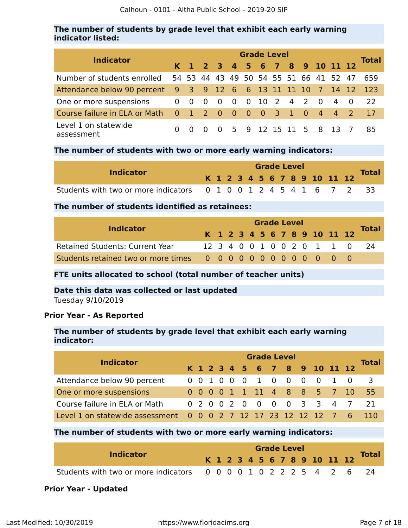# **The number of students by grade level that exhibit each early warning indicator listed:**

| <b>Indicator</b>                                             |           |                         |                          |            |  | <b>Grade Level</b> |  |                                        |             | <b>Total</b> |
|--------------------------------------------------------------|-----------|-------------------------|--------------------------|------------|--|--------------------|--|----------------------------------------|-------------|--------------|
|                                                              |           |                         |                          |            |  |                    |  | K 1 2 3 4 5 6 7 8 9 10 11 12           |             |              |
| Number of students enrolled                                  |           |                         |                          |            |  |                    |  | 54 53 44 43 49 50 54 55 51 66 41 52 47 |             | 659          |
| Attendance below 90 percent 9 3 9 12 6 6 13 11 11 10 7 14 12 |           |                         |                          |            |  |                    |  |                                        |             | -123         |
| One or more suspensions                                      | $\Omega$  | $\overline{\mathbf{0}}$ | $\overline{\phantom{0}}$ | $0\quad 0$ |  | 0 10 2 4 2 0       |  |                                        | $4 \quad 0$ | 22           |
| Course failure in ELA or Math                                | 0 1 2 0 0 |                         |                          |            |  | 0 0 3 1 0          |  | 4 4 2                                  |             | 17           |
| Level 1 on statewide<br>assessment                           |           | $\Omega$                | - 0                      |            |  |                    |  | 0 5 9 12 15 11 5 8 13                  |             | 85           |

## **The number of students with two or more early warning indicators:**

| <b>Indicator</b>                                                  |  |  |  | <b>Grade Level</b> |  |  |                              |              |
|-------------------------------------------------------------------|--|--|--|--------------------|--|--|------------------------------|--------------|
|                                                                   |  |  |  |                    |  |  | K 1 2 3 4 5 6 7 8 9 10 11 12 | <b>Total</b> |
| Students with two or more indicators 0 1 0 0 1 2 4 5 4 1 6 7 2 33 |  |  |  |                    |  |  |                              |              |

# **The number of students identified as retainees:**

| <b>Indicator</b>                       |  | <b>Grade Level</b> |  |  |  |  |  |  |  |  |  |                              |                            |              |
|----------------------------------------|--|--------------------|--|--|--|--|--|--|--|--|--|------------------------------|----------------------------|--------------|
|                                        |  |                    |  |  |  |  |  |  |  |  |  | K 1 2 3 4 5 6 7 8 9 10 11 12 |                            | <b>Total</b> |
| <b>Retained Students: Current Year</b> |  |                    |  |  |  |  |  |  |  |  |  |                              | 12 3 4 0 0 1 0 0 2 0 1 1 0 | - 24         |
|                                        |  |                    |  |  |  |  |  |  |  |  |  |                              |                            |              |

# **FTE units allocated to school (total number of teacher units)**

# **Date this data was collected or last updated**

Tuesday 9/10/2019

# **Prior Year - As Reported**

# **The number of students by grade level that exhibit each early warning indicator:**

| <b>Indicator</b>                                                |  | <b>Grade Level</b> |  |  |  |  |  |  |  |  |                              |  |                           |                |  |  |
|-----------------------------------------------------------------|--|--------------------|--|--|--|--|--|--|--|--|------------------------------|--|---------------------------|----------------|--|--|
|                                                                 |  |                    |  |  |  |  |  |  |  |  | K 1 2 3 4 5 6 7 8 9 10 11 12 |  |                           | <b>Total</b>   |  |  |
| Attendance below 90 percent                                     |  |                    |  |  |  |  |  |  |  |  | 0 0 1 0 0 0 1 0 0 0 0 1 0    |  |                           | $\overline{3}$ |  |  |
| One or more suspensions                                         |  |                    |  |  |  |  |  |  |  |  | 0 0 0 0 1 1 11 4 8 8 5 7 10  |  |                           | 55.            |  |  |
| Course failure in ELA or Math                                   |  |                    |  |  |  |  |  |  |  |  |                              |  | 0 2 0 0 2 0 0 0 0 3 3 4 7 | -21            |  |  |
| Level 1 on statewide assessment 0 0 0 2 7 12 17 23 12 12 12 7 6 |  |                    |  |  |  |  |  |  |  |  |                              |  |                           |                |  |  |

# **The number of students with two or more early warning indicators:**

| <b>Indicator</b>                                                  |  |  |  | <b>Grade Level</b> |  |  |                              |              |
|-------------------------------------------------------------------|--|--|--|--------------------|--|--|------------------------------|--------------|
|                                                                   |  |  |  |                    |  |  | K 1 2 3 4 5 6 7 8 9 10 11 12 | <b>Total</b> |
| Students with two or more indicators 0 0 0 0 1 0 2 2 2 5 4 2 6 24 |  |  |  |                    |  |  |                              |              |

# **Prior Year - Updated**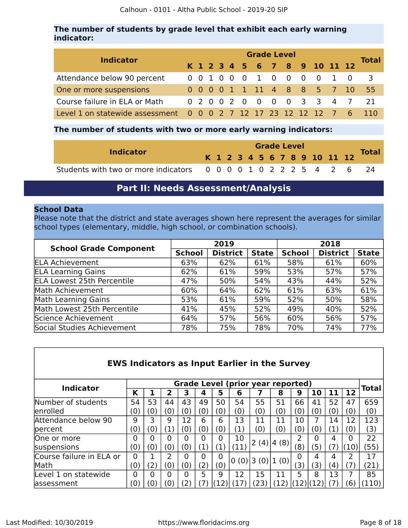# **The number of students by grade level that exhibit each early warning indicator:**

| <b>Indicator</b>                                                | <b>Grade Level</b><br>K 1 2 3 4 5 6 7 8 9 10 11 12 |  |  |  |  |  |  |  |  |  |                             |  |                           |              |  |
|-----------------------------------------------------------------|----------------------------------------------------|--|--|--|--|--|--|--|--|--|-----------------------------|--|---------------------------|--------------|--|
|                                                                 |                                                    |  |  |  |  |  |  |  |  |  |                             |  |                           | <b>Total</b> |  |
| Attendance below 90 percent                                     |                                                    |  |  |  |  |  |  |  |  |  | 0 0 1 0 0 0 1 0 0 0 0 1 0   |  |                           | $-3$         |  |
| One or more suspensions                                         |                                                    |  |  |  |  |  |  |  |  |  | 0 0 0 0 1 1 11 4 8 8 5 7 10 |  |                           | 55           |  |
| Course failure in ELA or Math                                   |                                                    |  |  |  |  |  |  |  |  |  |                             |  | 0 2 0 0 2 0 0 0 0 3 3 4 7 | 21           |  |
| Level 1 on statewide assessment 0 0 0 2 7 12 17 23 12 12 12 7 6 |                                                    |  |  |  |  |  |  |  |  |  |                             |  |                           |              |  |

# **The number of students with two or more early warning indicators:**

| <b>Indicator</b>                                                  |  |  |  | <b>Grade Level</b> |  |  |                              | <b>Total</b> |
|-------------------------------------------------------------------|--|--|--|--------------------|--|--|------------------------------|--------------|
|                                                                   |  |  |  |                    |  |  | K 1 2 3 4 5 6 7 8 9 10 11 12 |              |
| Students with two or more indicators 0 0 0 0 1 0 2 2 2 5 4 2 6 24 |  |  |  |                    |  |  |                              |              |

# **Part II: Needs Assessment/Analysis**

# <span id="page-7-0"></span>**School Data**

Please note that the district and state averages shown here represent the averages for similar school types (elementary, middle, high school, or combination schools).

|                                   |               | 2019            |              | 2018          |                 |              |  |  |  |  |
|-----------------------------------|---------------|-----------------|--------------|---------------|-----------------|--------------|--|--|--|--|
| <b>School Grade Component</b>     | <b>School</b> | <b>District</b> | <b>State</b> | <b>School</b> | <b>District</b> | <b>State</b> |  |  |  |  |
| <b>ELA Achievement</b>            | 63%           | 62%             | 61%          | 58%           | 61%             | 60%          |  |  |  |  |
| <b>ELA Learning Gains</b>         | 62%           | 61%             | 59%          | 53%           | 57%             | 57%          |  |  |  |  |
| <b>ELA Lowest 25th Percentile</b> | 47%           | 50%             | 54%          | 43%           | 44%             | 52%          |  |  |  |  |
| Math Achievement                  | 60%           | 64%             | 62%          | 61%           | 63%             | 61%          |  |  |  |  |
| Math Learning Gains               | 53%           | 61%             | 59%          | 52%           | 50%             | 58%          |  |  |  |  |
| Math Lowest 25th Percentile       | 41%           | 45%             | 52%          | 49%           | 40%             | 52%          |  |  |  |  |
| Science Achievement               | 64%           | 57%             | 56%          | 60%           | 56%             | 57%          |  |  |  |  |
| Social Studies Achievement        | 78%           | 75%             | 78%          | 70%           | 74%             | 77%          |  |  |  |  |

# **EWS Indicators as Input Earlier in the Survey**

| <b>Indicator</b>         |                    |                       |                   |                             |                    |                   |                   |                    | <b>Grade Level (prior year reported)</b> |     |                    |                   |                   | Total |
|--------------------------|--------------------|-----------------------|-------------------|-----------------------------|--------------------|-------------------|-------------------|--------------------|------------------------------------------|-----|--------------------|-------------------|-------------------|-------|
|                          | Κ                  |                       |                   | 3                           | 4                  | 5                 | 6                 |                    | 8                                        | 9   | 10                 |                   | 12                |       |
| Number of students       | 54                 | 53                    | 44                | 43                          | 49                 | 50                | 54                | 55                 | 51                                       | 66  | 41                 | 52                | 47                | 659   |
| enrolled                 | $\left( 0 \right)$ | (0                    | $\left( 0\right)$ | $\left( 0 \right)$          | $\left( 0 \right)$ | (0)               | (0)               | $\left( 0 \right)$ | (0)                                      | (0  | (0)                | (0)               | $\left( 0\right)$ | (0)   |
| Attendance below 90      | 9                  |                       | 9                 | 12                          | 6                  | 6                 | 13                | 11                 | 11                                       | 10  |                    | 14                | 12                | 123   |
| percent                  | (0)                | (0                    | 1)                | $\left( 0 \right)$          | $\left( 0 \right)$ | (0)               | $\left( 1\right)$ | $\left( 0 \right)$ | (0)                                      | (0  | $\left( 0 \right)$ |                   | 0)                | (3)   |
| One or more              |                    |                       |                   | 0                           | 0                  | 0                 | 10                |                    |                                          |     |                    | 4                 | 0                 | 22    |
| suspensions              | $\left( 0\right)$  | (0                    | (0)               | $\mathbf{\left( 0\right) }$ | $\mathbf{1}$       | $\left( 1\right)$ | (11)              | 2(4)               | 4(8)                                     | (8) | 5                  |                   | <b>10)</b>        | (55)  |
| Course failure in ELA or | 0                  |                       |                   | O                           | 0                  | 0                 | 0(0)              | 3(0)               | 1(0)                                     | 0   |                    | 4                 | າ                 | 17    |
| Math                     | (0)                | $\mathbf{2}^{\prime}$ | (0)               | $^{\prime}$ O $^{\prime}$   | 2 <sup>1</sup>     | (0)               |                   |                    |                                          | (3) | (3)                | $\left( 4\right)$ | 7                 | (21)  |
| Level 1 on statewide     | 0                  |                       |                   | 0                           | 5                  | 9                 | 12                | 15                 | 11                                       | 5   | 8                  | 13                |                   | 85    |
| lassessment              | 0                  | 0)                    | $\omega$          | '2.                         |                    |                   |                   | (23)               |                                          |     |                    |                   | 6                 | 110)  |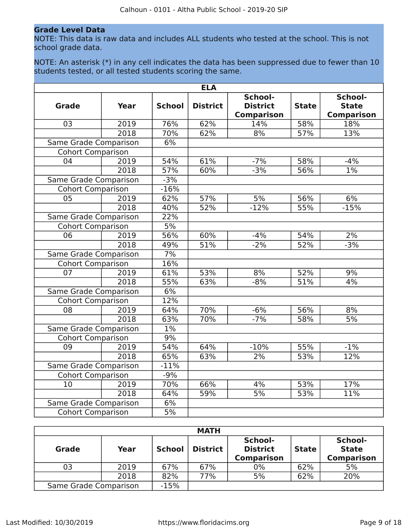# **Grade Level Data**

NOTE: This data is raw data and includes ALL students who tested at the school. This is not school grade data.

NOTE: An asterisk (\*) in any cell indicates the data has been suppressed due to fewer than 10 students tested, or all tested students scoring the same.

|                              |             |               | <b>ELA</b>      |                                                 |              |                                              |
|------------------------------|-------------|---------------|-----------------|-------------------------------------------------|--------------|----------------------------------------------|
| <b>Grade</b>                 | <b>Year</b> | <b>School</b> | <b>District</b> | School-<br><b>District</b><br><b>Comparison</b> | <b>State</b> | School-<br><b>State</b><br><b>Comparison</b> |
| 03                           | 2019        | 76%           | 62%             | 14%                                             | 58%          | 18%                                          |
|                              | 2018        | 70%           | 62%             | 8%                                              | 57%          | 13%                                          |
| Same Grade Comparison        |             | 6%            |                 |                                                 |              |                                              |
| <b>Cohort Comparison</b>     |             |               |                 |                                                 |              |                                              |
| 04                           | 2019        | 54%           | 61%             | $-7%$                                           | 58%          | $-4%$                                        |
|                              | 2018        | 57%           | 60%             | $-3%$                                           | 56%          | $1\%$                                        |
| Same Grade Comparison        |             | $-3%$         |                 |                                                 |              |                                              |
| <b>Cohort Comparison</b>     |             | $-16%$        |                 |                                                 |              |                                              |
| 05                           | 2019        | 62%           | 57%             | $\overline{5\%}$                                | 56%          | 6%                                           |
|                              | 2018        | 40%           | 52%             | $-12%$                                          | 55%          | $-15%$                                       |
| Same Grade Comparison        |             | 22%           |                 |                                                 |              |                                              |
| <b>Cohort Comparison</b>     |             | 5%            |                 |                                                 |              |                                              |
| 06                           | 2019        | 56%           | 60%             | $-4%$                                           | 54%          | 2%                                           |
|                              | 2018        | 49%           | 51%             | $-2%$                                           | 52%          | $-3%$                                        |
| Same Grade Comparison        |             | 7%            |                 |                                                 |              |                                              |
| <b>Cohort Comparison</b>     |             | 16%           |                 |                                                 |              |                                              |
| 07                           | 2019        | 61%           | 53%             | 8%                                              | 52%          | 9%                                           |
|                              | 2018        | 55%           | 63%             | $-8%$                                           | 51%          | 4%                                           |
| Same Grade Comparison        |             | 6%            |                 |                                                 |              |                                              |
| <b>Cohort Comparison</b>     |             | 12%           |                 |                                                 |              |                                              |
| 08                           | 2019        | 64%           | 70%             | $-6%$                                           | 56%          | 8%                                           |
|                              | 2018        | 63%           | 70%             | $-7%$                                           | 58%          | 5%                                           |
| <b>Same Grade Comparison</b> |             | $1\%$         |                 |                                                 |              |                                              |
| <b>Cohort Comparison</b>     |             | 9%            |                 |                                                 |              |                                              |
| 09                           | 2019        | 54%           | 64%             | $-10%$                                          | 55%          | $-1%$                                        |
|                              | 2018        | 65%           | 63%             | 2%                                              | 53%          | 12%                                          |
| Same Grade Comparison        |             | $-11%$        |                 |                                                 |              |                                              |
| <b>Cohort Comparison</b>     |             | $-9%$         |                 |                                                 |              |                                              |
| 10                           | 2019        | 70%           | 66%             | 4%                                              | 53%          | 17%                                          |
|                              | 2018        | 64%           | 59%             | $\frac{1}{5\%}$                                 | 53%          | 11%                                          |
| Same Grade Comparison        |             | 6%            |                 |                                                 |              |                                              |
| <b>Cohort Comparison</b>     |             | 5%            |                 |                                                 |              |                                              |

| <b>MATH</b>           |        |               |                 |                                                 |              |                                              |  |  |  |  |
|-----------------------|--------|---------------|-----------------|-------------------------------------------------|--------------|----------------------------------------------|--|--|--|--|
| <b>Grade</b>          | Year   | <b>School</b> | <b>District</b> | School-<br><b>District</b><br><b>Comparison</b> | <b>State</b> | School-<br><b>State</b><br><b>Comparison</b> |  |  |  |  |
| 03                    | 2019   | 67%           | 67%             | $0\%$                                           | 62%          | 5%                                           |  |  |  |  |
|                       | 2018   | 82%           | 77%             | 5%                                              | 62%          | 20%                                          |  |  |  |  |
| Same Grade Comparison | $-15%$ |               |                 |                                                 |              |                                              |  |  |  |  |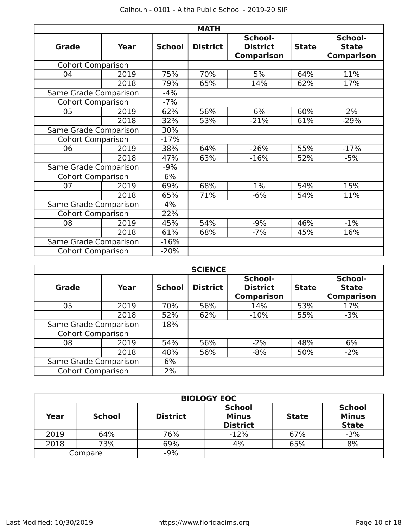|                          |             |               | <b>MATH</b>     |                                                 |              |                                              |
|--------------------------|-------------|---------------|-----------------|-------------------------------------------------|--------------|----------------------------------------------|
| <b>Grade</b>             | <b>Year</b> | <b>School</b> | <b>District</b> | School-<br><b>District</b><br><b>Comparison</b> | <b>State</b> | School-<br><b>State</b><br><b>Comparison</b> |
| <b>Cohort Comparison</b> |             |               |                 |                                                 |              |                                              |
| 04                       | 2019        | 75%           | 70%             | 5%                                              | 64%          | 11%                                          |
|                          | 2018        | 79%           | 65%             | 14%                                             | 62%          | 17%                                          |
| Same Grade Comparison    |             | $-4%$         |                 |                                                 |              |                                              |
| <b>Cohort Comparison</b> |             | $-7%$         |                 |                                                 |              |                                              |
| 05                       | 2019        | 62%           | 56%             | 6%                                              | 60%          | 2%                                           |
|                          | 2018        | 32%           | 53%             | $-21%$                                          | 61%          | $-29%$                                       |
| Same Grade Comparison    |             | 30%           |                 |                                                 |              |                                              |
| <b>Cohort Comparison</b> |             | $-17%$        |                 |                                                 |              |                                              |
| 06                       | 2019        | 38%           | 64%             | $-26%$                                          | 55%          | $-17%$                                       |
|                          | 2018        | 47%           | 63%             | $-16%$                                          | 52%          | $-5%$                                        |
| Same Grade Comparison    |             | $-9%$         |                 |                                                 |              |                                              |
| <b>Cohort Comparison</b> |             | 6%            |                 |                                                 |              |                                              |
| 07                       | 2019        | 69%           | 68%             | 1%                                              | 54%          | 15%                                          |
|                          | 2018        | 65%           | 71%             | $-6%$                                           | 54%          | 11%                                          |
| Same Grade Comparison    |             | 4%            |                 |                                                 |              |                                              |
| <b>Cohort Comparison</b> |             | 22%           |                 |                                                 |              |                                              |
| 08                       | 2019        | 45%           | 54%             | $-9%$                                           | 46%          | $-1\%$                                       |
|                          | 2018        | 61%           | 68%             | $-7%$                                           | 45%          | 16%                                          |
| Same Grade Comparison    |             | $-16%$        |                 |                                                 |              |                                              |
| <b>Cohort Comparison</b> |             | $-20%$        |                 |                                                 |              |                                              |

|                          | <b>SCIENCE</b> |               |                 |                                                 |              |                                              |  |  |  |  |  |  |
|--------------------------|----------------|---------------|-----------------|-------------------------------------------------|--------------|----------------------------------------------|--|--|--|--|--|--|
| Grade                    | Year           | <b>School</b> | <b>District</b> | School-<br><b>District</b><br><b>Comparison</b> | <b>State</b> | School-<br><b>State</b><br><b>Comparison</b> |  |  |  |  |  |  |
| 05                       | 2019           | 70%           | 56%             | 14%                                             | 53%          | 17%                                          |  |  |  |  |  |  |
|                          | 2018           | 52%           | 62%             | $-10%$                                          | 55%          | $-3%$                                        |  |  |  |  |  |  |
| Same Grade Comparison    |                | 18%           |                 |                                                 |              |                                              |  |  |  |  |  |  |
| <b>Cohort Comparison</b> |                |               |                 |                                                 |              |                                              |  |  |  |  |  |  |
| 08                       | 2019           | 54%           | 56%             | $-2%$                                           | 48%          | 6%                                           |  |  |  |  |  |  |
|                          | 2018           | 48%           | 56%             | $-8%$                                           | 50%          | $-2%$                                        |  |  |  |  |  |  |
| Same Grade Comparison    | 6%             |               |                 |                                                 |              |                                              |  |  |  |  |  |  |
| <b>Cohort Comparison</b> |                | 2%            |                 |                                                 |              |                                              |  |  |  |  |  |  |

|      | <b>BIOLOGY EOC</b> |                 |                                                  |              |                                               |  |  |  |  |  |  |
|------|--------------------|-----------------|--------------------------------------------------|--------------|-----------------------------------------------|--|--|--|--|--|--|
| Year | <b>School</b>      | <b>District</b> | <b>School</b><br><b>Minus</b><br><b>District</b> | <b>State</b> | <b>School</b><br><b>Minus</b><br><b>State</b> |  |  |  |  |  |  |
| 2019 | 64%                | 76%             | $-12%$                                           | 67%          | $-3%$                                         |  |  |  |  |  |  |
| 2018 | 73%                | 69%             | 4%                                               | 65%          | 8%                                            |  |  |  |  |  |  |
|      | Compare            | $-9%$           |                                                  |              |                                               |  |  |  |  |  |  |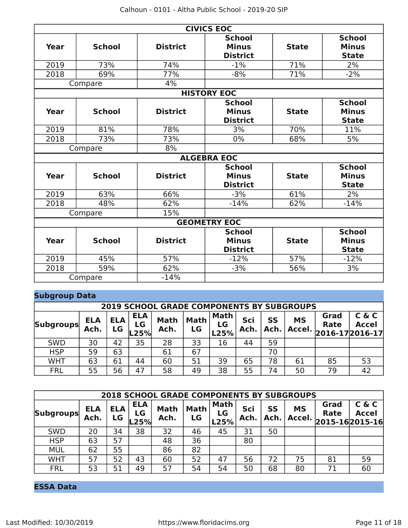|      |                    |                 | <b>CIVICS EOC</b>                                |              |                                               |  |  |  |  |  |  |  |
|------|--------------------|-----------------|--------------------------------------------------|--------------|-----------------------------------------------|--|--|--|--|--|--|--|
| Year | <b>School</b>      | <b>District</b> | <b>School</b><br><b>Minus</b><br><b>District</b> | <b>State</b> | <b>School</b><br><b>Minus</b><br><b>State</b> |  |  |  |  |  |  |  |
| 2019 | 73%                | 74%             | $-1%$                                            | 71%          | 2%                                            |  |  |  |  |  |  |  |
| 2018 | 69%                | 77%             | $-8%$                                            | 71%          | $-2%$                                         |  |  |  |  |  |  |  |
|      | Compare            | 4%              |                                                  |              |                                               |  |  |  |  |  |  |  |
|      | <b>HISTORY EOC</b> |                 |                                                  |              |                                               |  |  |  |  |  |  |  |
| Year | <b>School</b>      | <b>District</b> | <b>School</b><br><b>Minus</b><br><b>District</b> | <b>State</b> | <b>School</b><br><b>Minus</b><br><b>State</b> |  |  |  |  |  |  |  |
| 2019 | 81%                | 78%             | 3%                                               | 70%          | 11%                                           |  |  |  |  |  |  |  |
| 2018 | 73%                | 73%             | $0\%$                                            | 68%          | 5%                                            |  |  |  |  |  |  |  |
|      | Compare            | 8%              |                                                  |              |                                               |  |  |  |  |  |  |  |
|      |                    |                 | <b>ALGEBRA EOC</b>                               |              |                                               |  |  |  |  |  |  |  |
| Year | <b>School</b>      | <b>District</b> | <b>School</b><br><b>Minus</b><br><b>District</b> | <b>State</b> | <b>School</b><br><b>Minus</b><br><b>State</b> |  |  |  |  |  |  |  |
| 2019 | 63%                | 66%             | $-3%$                                            | 61%          | 2%                                            |  |  |  |  |  |  |  |
| 2018 | 48%                | 62%             | $-14%$                                           | 62%          | $-14%$                                        |  |  |  |  |  |  |  |
|      | Compare            | 15%             |                                                  |              |                                               |  |  |  |  |  |  |  |
|      |                    |                 | <b>GEOMETRY EOC</b>                              |              |                                               |  |  |  |  |  |  |  |
| Year | <b>School</b>      | <b>District</b> | <b>School</b><br><b>Minus</b><br><b>District</b> | <b>State</b> | <b>School</b><br><b>Minus</b><br><b>State</b> |  |  |  |  |  |  |  |
| 2019 | 45%                | 57%             | $-12%$                                           | 57%          | $-12%$                                        |  |  |  |  |  |  |  |
| 2018 | 59%                | 62%             | $-3%$                                            | 56%          | 3%                                            |  |  |  |  |  |  |  |
|      | Compare            | $-14%$          |                                                  |              |                                               |  |  |  |  |  |  |  |

# **Subgroup Data**

|                  | <b>2019 SCHOOL GRADE COMPONENTS BY SUBGROUPS</b> |                  |                          |                     |                   |                           |             |            |                     |                                            |                       |  |
|------------------|--------------------------------------------------|------------------|--------------------------|---------------------|-------------------|---------------------------|-------------|------------|---------------------|--------------------------------------------|-----------------------|--|
| <b>Subgroups</b> | <b>ELA</b><br>Ach.                               | <b>ELA</b><br>LG | <b>ELA</b><br>LG<br>.25% | <b>Math</b><br>Ach. | <b>Math</b><br>LG | <b>Math</b><br>LG<br>L25% | Sci<br>Ach. | SS<br>Ach. | <b>MS</b><br>Accel. | Grad<br><b>Rate</b><br>$ 2016-17 2016-17 $ | C & C<br><b>Accel</b> |  |
| <b>SWD</b>       | 30                                               | 42               | 35                       | 28                  | 33                | 16                        | 44          | 59         |                     |                                            |                       |  |
| <b>HSP</b>       | 59                                               | 63               |                          | 61                  | 67                |                           |             | 70         |                     |                                            |                       |  |
| <b>WHT</b>       | 63                                               | 61               | 44                       | 60                  | 51                | 39                        | 65          | 78         | 61                  | 85                                         | 53                    |  |
| <b>FRL</b>       | 55                                               | 56               | 47                       | 58                  | 49                | 38                        | 55          | 74         | 50                  | 79                                         | 42                    |  |

|                  | <b>2018 SCHOOL GRADE COMPONENTS BY SUBGROUPS</b> |                  |                          |                     |                   |                           |             |            |                     |              |                                         |  |  |
|------------------|--------------------------------------------------|------------------|--------------------------|---------------------|-------------------|---------------------------|-------------|------------|---------------------|--------------|-----------------------------------------|--|--|
| <b>Subgroups</b> | <b>ELA</b><br>Ach.                               | <b>ELA</b><br>LG | <b>ELA</b><br>LG<br>L25% | <b>Math</b><br>Ach. | <b>Math</b><br>LG | <b>Math</b><br>LG<br>L25% | Sci<br>Ach. | SS<br>Ach. | <b>MS</b><br>Accel. | Grad<br>Rate | C & C<br><b>Accel</b><br>2015-162015-16 |  |  |
| <b>SWD</b>       | 20                                               | 34               | 38                       | 32                  | 46                | 45                        | 31          | 50         |                     |              |                                         |  |  |
| <b>HSP</b>       | 63                                               | 57               |                          | 48                  | 36                |                           | 80          |            |                     |              |                                         |  |  |
| <b>MUL</b>       | 62                                               | 55               |                          | 86                  | 82                |                           |             |            |                     |              |                                         |  |  |
| <b>WHT</b>       | 57                                               | 52               | 43                       | 60                  | 52                | 47                        | 56          | 72         | 75                  | 81           | 59                                      |  |  |
| <b>FRL</b>       | 53                                               | 51               | 49                       | 57                  | 54                | 54                        | 50          | 68         | 80                  | 71           | 60                                      |  |  |

# **ESSA Data**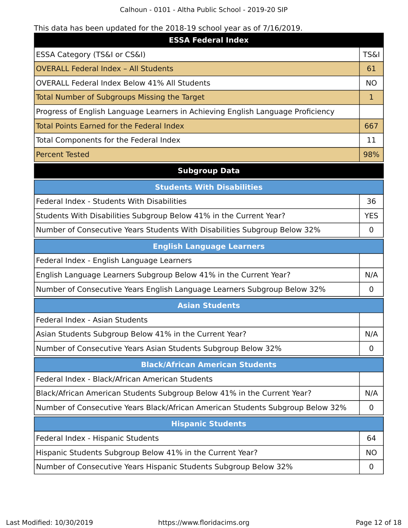Calhoun - 0101 - Altha Public School - 2019-20 SIP

# This data has been updated for the 2018-19 school year as of 7/16/2019.

| <b>ESSA Federal Index</b>                                                       |                 |
|---------------------------------------------------------------------------------|-----------------|
| ESSA Category (TS&I or CS&I)                                                    | <b>TS&amp;I</b> |
| <b>OVERALL Federal Index - All Students</b>                                     | 61              |
| <b>OVERALL Federal Index Below 41% All Students</b>                             | <b>NO</b>       |
| Total Number of Subgroups Missing the Target                                    |                 |
| Progress of English Language Learners in Achieving English Language Proficiency |                 |
| Total Points Earned for the Federal Index                                       | 667             |
| Total Components for the Federal Index                                          | 11              |
| <b>Percent Tested</b>                                                           | 98%             |

# **Subgroup Data**

| <b>Students With Disabilities</b>                                         |            |  |  |  |  |
|---------------------------------------------------------------------------|------------|--|--|--|--|
| Federal Index - Students With Disabilities                                | 36         |  |  |  |  |
| Students With Disabilities Subgroup Below 41% in the Current Year?        | <b>YES</b> |  |  |  |  |
| Number of Consecutive Years Students With Disabilities Subgroup Below 32% |            |  |  |  |  |
| <b>English Language Learners</b>                                          |            |  |  |  |  |
| Federal Index - English Language Learners                                 |            |  |  |  |  |
| English Language Learners Subgroup Below 41% in the Current Year?         | N/A        |  |  |  |  |

Number of Consecutive Years English Language Learners Subgroup Below 32% | 0

# **Asian Students**

Federal Index - Asian Students

Asian Students Subgroup Below 41% in the Current Year? N/A

Number of Consecutive Years Asian Students Subgroup Below 32% and Consecutive Years Asian Students Subgroup Below 32%

# **Black/African American Students**

Federal Index - Black/African American Students

Black/African American Students Subgroup Below 41% in the Current Year? | N/A

Number of Consecutive Years Black/African American Students Subgroup Below 32% | 0

# **Hispanic Students** Federal Index - Hispanic Students 64 Hispanic Students Subgroup Below 41% in the Current Year? Number of Consecutive Years Hispanic Students Subgroup Below 32% | 0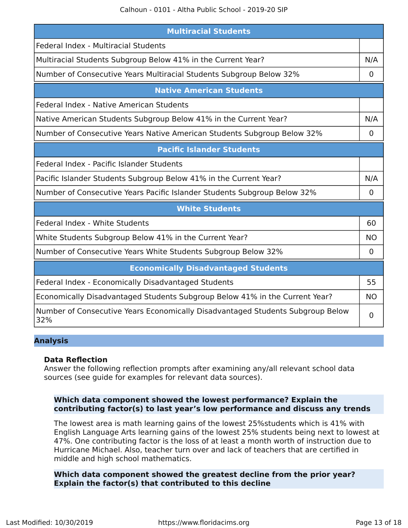| <b>Multiracial Students</b>                                                           |             |  |  |  |  |  |  |  |
|---------------------------------------------------------------------------------------|-------------|--|--|--|--|--|--|--|
| Federal Index - Multiracial Students                                                  |             |  |  |  |  |  |  |  |
| Multiracial Students Subgroup Below 41% in the Current Year?                          | N/A         |  |  |  |  |  |  |  |
| Number of Consecutive Years Multiracial Students Subgroup Below 32%                   | 0           |  |  |  |  |  |  |  |
| <b>Native American Students</b>                                                       |             |  |  |  |  |  |  |  |
| Federal Index - Native American Students                                              |             |  |  |  |  |  |  |  |
| Native American Students Subgroup Below 41% in the Current Year?                      | N/A         |  |  |  |  |  |  |  |
| Number of Consecutive Years Native American Students Subgroup Below 32%               | $\mathbf 0$ |  |  |  |  |  |  |  |
| <b>Pacific Islander Students</b>                                                      |             |  |  |  |  |  |  |  |
| Federal Index - Pacific Islander Students                                             |             |  |  |  |  |  |  |  |
| Pacific Islander Students Subgroup Below 41% in the Current Year?                     | N/A         |  |  |  |  |  |  |  |
| Number of Consecutive Years Pacific Islander Students Subgroup Below 32%              | $\mathbf 0$ |  |  |  |  |  |  |  |
| <b>White Students</b>                                                                 |             |  |  |  |  |  |  |  |
| Federal Index - White Students                                                        | 60          |  |  |  |  |  |  |  |
| White Students Subgroup Below 41% in the Current Year?                                | <b>NO</b>   |  |  |  |  |  |  |  |
| Number of Consecutive Years White Students Subgroup Below 32%                         | 0           |  |  |  |  |  |  |  |
| <b>Economically Disadvantaged Students</b>                                            |             |  |  |  |  |  |  |  |
| Federal Index - Economically Disadvantaged Students                                   | 55          |  |  |  |  |  |  |  |
| Economically Disadvantaged Students Subgroup Below 41% in the Current Year?           | <b>NO</b>   |  |  |  |  |  |  |  |
| Number of Consecutive Years Economically Disadvantaged Students Subgroup Below<br>32% | 0           |  |  |  |  |  |  |  |

#### **Analysis**

#### **Data Reflection**

Answer the following reflection prompts after examining any/all relevant school data sources (see guide for examples for relevant data sources).

# **Which data component showed the lowest performance? Explain the contributing factor(s) to last year's low performance and discuss any trends**

The lowest area is math learning gains of the lowest 25%students which is 41% with English Language Arts learning gains of the lowest 25% students being next to lowest at 47%. One contributing factor is the loss of at least a month worth of instruction due to Hurricane Michael. Also, teacher turn over and lack of teachers that are certified in middle and high school mathematics.

**Which data component showed the greatest decline from the prior year? Explain the factor(s) that contributed to this decline**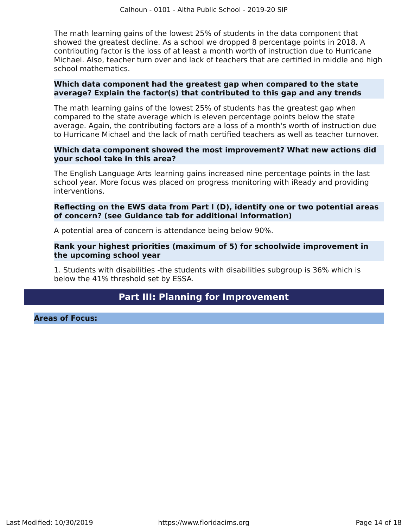The math learning gains of the lowest 25% of students in the data component that showed the greatest decline. As a school we dropped 8 percentage points in 2018. A contributing factor is the loss of at least a month worth of instruction due to Hurricane Michael. Also, teacher turn over and lack of teachers that are certified in middle and high school mathematics.

## **Which data component had the greatest gap when compared to the state average? Explain the factor(s) that contributed to this gap and any trends**

The math learning gains of the lowest 25% of students has the greatest gap when compared to the state average which is eleven percentage points below the state average. Again, the contributing factors are a loss of a month's worth of instruction due to Hurricane Michael and the lack of math certified teachers as well as teacher turnover.

# **Which data component showed the most improvement? What new actions did your school take in this area?**

The English Language Arts learning gains increased nine percentage points in the last school year. More focus was placed on progress monitoring with iReady and providing interventions.

# **Reflecting on the EWS data from Part I (D), identify one or two potential areas of concern? (see Guidance tab for additional information)**

A potential area of concern is attendance being below 90%.

# **Rank your highest priorities (maximum of 5) for schoolwide improvement in the upcoming school year**

1. Students with disabilities -the students with disabilities subgroup is 36% which is below the 41% threshold set by ESSA.

# **Part III: Planning for Improvement**

<span id="page-13-0"></span>**Areas of Focus:**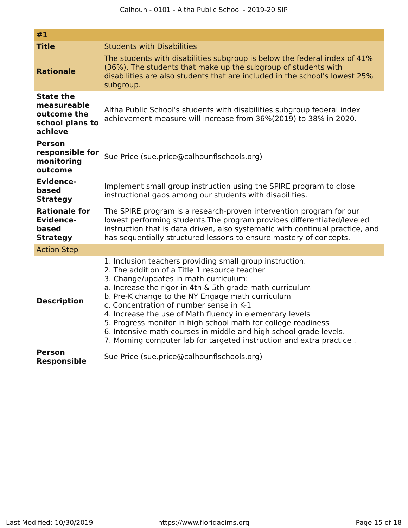| #1                                                                           |                                                                                                                                                                                                                                                                                                                                                                                                                                                                                                                                                                                         |
|------------------------------------------------------------------------------|-----------------------------------------------------------------------------------------------------------------------------------------------------------------------------------------------------------------------------------------------------------------------------------------------------------------------------------------------------------------------------------------------------------------------------------------------------------------------------------------------------------------------------------------------------------------------------------------|
| <b>Title</b>                                                                 | <b>Students with Disabilities</b>                                                                                                                                                                                                                                                                                                                                                                                                                                                                                                                                                       |
| <b>Rationale</b>                                                             | The students with disabilities subgroup is below the federal index of 41%<br>(36%). The students that make up the subgroup of students with<br>disabilities are also students that are included in the school's lowest 25%<br>subgroup.                                                                                                                                                                                                                                                                                                                                                 |
| <b>State the</b><br>measureable<br>outcome the<br>school plans to<br>achieve | Altha Public School's students with disabilities subgroup federal index<br>achievement measure will increase from 36%(2019) to 38% in 2020.                                                                                                                                                                                                                                                                                                                                                                                                                                             |
| <b>Person</b><br>responsible for<br>monitoring<br>outcome                    | Sue Price (sue.price@calhounflschools.org)                                                                                                                                                                                                                                                                                                                                                                                                                                                                                                                                              |
| <b>Evidence-</b><br>based<br><b>Strategy</b>                                 | Implement small group instruction using the SPIRE program to close<br>instructional gaps among our students with disabilities.                                                                                                                                                                                                                                                                                                                                                                                                                                                          |
| <b>Rationale for</b><br><b>Evidence-</b><br>based<br><b>Strategy</b>         | The SPIRE program is a research-proven intervention program for our<br>lowest performing students. The program provides differentiated/leveled<br>instruction that is data driven, also systematic with continual practice, and<br>has sequentially structured lessons to ensure mastery of concepts.                                                                                                                                                                                                                                                                                   |
| <b>Action Step</b>                                                           |                                                                                                                                                                                                                                                                                                                                                                                                                                                                                                                                                                                         |
| <b>Description</b>                                                           | 1. Inclusion teachers providing small group instruction.<br>2. The addition of a Title 1 resource teacher<br>3. Change/updates in math curriculum:<br>a. Increase the rigor in 4th & 5th grade math curriculum<br>b. Pre-K change to the NY Engage math curriculum<br>c. Concentration of number sense in K-1<br>4. Increase the use of Math fluency in elementary levels<br>5. Progress monitor in high school math for college readiness<br>6. Intensive math courses in middle and high school grade levels.<br>7. Morning computer lab for targeted instruction and extra practice. |
| <b>Person</b><br><b>Responsible</b>                                          | Sue Price (sue.price@calhounflschools.org)                                                                                                                                                                                                                                                                                                                                                                                                                                                                                                                                              |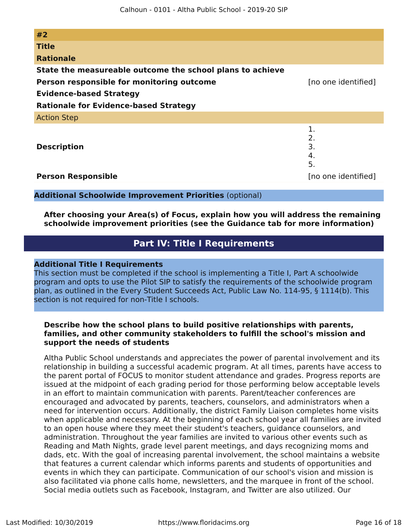| #2                                                        |                            |
|-----------------------------------------------------------|----------------------------|
| <b>Title</b>                                              |                            |
| <b>Rationale</b>                                          |                            |
| State the measureable outcome the school plans to achieve |                            |
| Person responsible for monitoring outcome                 | [no one identified]        |
| <b>Evidence-based Strategy</b>                            |                            |
| <b>Rationale for Evidence-based Strategy</b>              |                            |
| <b>Action Step</b>                                        |                            |
| <b>Description</b>                                        | 1.<br>2.<br>3.<br>4.<br>5. |
| <b>Person Responsible</b>                                 | [no one identified]        |

**Additional Schoolwide Improvement Priorities** (optional)

**After choosing your Area(s) of Focus, explain how you will address the remaining schoolwide improvement priorities (see the Guidance tab for more information)**

# **Part IV: Title I Requirements**

### <span id="page-15-0"></span>**Additional Title I Requirements**

This section must be completed if the school is implementing a Title I, Part A schoolwide program and opts to use the Pilot SIP to satisfy the requirements of the schoolwide program plan, as outlined in the Every Student Succeeds Act, Public Law No. 114-95, § 1114(b). This section is not required for non-Title I schools.

# **Describe how the school plans to build positive relationships with parents, families, and other community stakeholders to fulfill the school's mission and support the needs of students**

Altha Public School understands and appreciates the power of parental involvement and its relationship in building a successful academic program. At all times, parents have access to the parent portal of FOCUS to monitor student attendance and grades. Progress reports are issued at the midpoint of each grading period for those performing below acceptable levels in an effort to maintain communication with parents. Parent/teacher conferences are encouraged and advocated by parents, teachers, counselors, and administrators when a need for intervention occurs. Additionally, the district Family Liaison completes home visits when applicable and necessary. At the beginning of each school year all families are invited to an open house where they meet their student's teachers, guidance counselors, and administration. Throughout the year families are invited to various other events such as Reading and Math Nights, grade level parent meetings, and days recognizing moms and dads, etc. With the goal of increasing parental involvement, the school maintains a website that features a current calendar which informs parents and students of opportunities and events in which they can participate. Communication of our school's vision and mission is also facilitated via phone calls home, newsletters, and the marquee in front of the school. Social media outlets such as Facebook, Instagram, and Twitter are also utilized. Our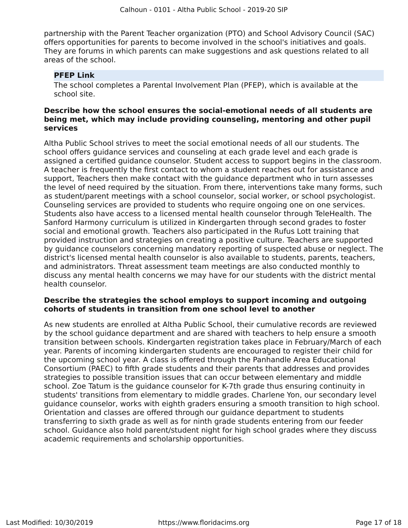partnership with the Parent Teacher organization (PTO) and School Advisory Council (SAC) offers opportunities for parents to become involved in the school's initiatives and goals. They are forums in which parents can make suggestions and ask questions related to all areas of the school.

# **PFEP Link**

The school completes a Parental Involvement Plan (PFEP), which is available at the school site.

# **Describe how the school ensures the social-emotional needs of all students are being met, which may include providing counseling, mentoring and other pupil services**

Altha Public School strives to meet the social emotional needs of all our students. The school offers guidance services and counseling at each grade level and each grade is assigned a certified guidance counselor. Student access to support begins in the classroom. A teacher is frequently the first contact to whom a student reaches out for assistance and support, Teachers then make contact with the guidance department who in turn assesses the level of need required by the situation. From there, interventions take many forms, such as student/parent meetings with a school counselor, social worker, or school psychologist. Counseling services are provided to students who require ongoing one on one services. Students also have access to a licensed mental health counselor through TeleHealth. The Sanford Harmony curriculum is utilized in Kindergarten through second grades to foster social and emotional growth. Teachers also participated in the Rufus Lott training that provided instruction and strategies on creating a positive culture. Teachers are supported by guidance counselors concerning mandatory reporting of suspected abuse or neglect. The district's licensed mental health counselor is also available to students, parents, teachers, and administrators. Threat assessment team meetings are also conducted monthly to discuss any mental health concerns we may have for our students with the district mental health counselor.

# **Describe the strategies the school employs to support incoming and outgoing cohorts of students in transition from one school level to another**

As new students are enrolled at Altha Public School, their cumulative records are reviewed by the school guidance department and are shared with teachers to help ensure a smooth transition between schools. Kindergarten registration takes place in February/March of each year. Parents of incoming kindergarten students are encouraged to register their child for the upcoming school year. A class is offered through the Panhandle Area Educational Consortium (PAEC) to fifth grade students and their parents that addresses and provides strategies to possible transition issues that can occur between elementary and middle school. Zoe Tatum is the guidance counselor for K-7th grade thus ensuring continuity in students' transitions from elementary to middle grades. Charlene Yon, our secondary level guidance counselor, works with eighth graders ensuring a smooth transition to high school. Orientation and classes are offered through our guidance department to students transferring to sixth grade as well as for ninth grade students entering from our feeder school. Guidance also hold parent/student night for high school grades where they discuss academic requirements and scholarship opportunities.